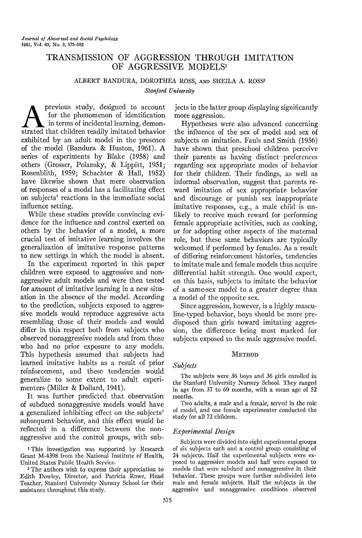# TRANSMISSION OF AGGRESSION THROUGH IMITATION OF AGGRESSIVE MODELS<sup>1</sup>

# ALBERT BANDURA, DOROTHEA ROSS, AND SHEILA A. ROSS<sup>2</sup> *Stanford University*

**AND** previous study, designed to account for the phenomenon of identification in terms of incidental learning, demonstrated that children readily imitated behavior previous study, designed to account for the phenomenon of identification in terms of incidental learning, demonexhibited by an adult model in the presence of the model (Bandura & Huston, 1961). A series of experiments by Blake (1958) and others (Grosser, Polansky, & Lippitt, 1951; Rosenblith, 1959; Schachter & Hall, 1952) have likewise shown that mere observation of responses of a model has a facilitating effect on subjects' reactions in the immediate social influence setting.

While these studies provide convincing evidence for the influence and control exerted on others by the behavior of a model, a more crucial test of imitative learning involves the generalization of imitative response patterns to new settings in which the model is absent.

In the experiment reported in this paper children were exposed to aggressive and nonaggressive adult models and were then tested for amount of imitative learning in a new situation in the absence of the model. According to the prediction, subjects exposed to aggressive models would reproduce aggressive acts resembling those of their models and would differ in this respect both from subjects who observed nonaggressive models and from those who had no prior exposure to any models. This hypothesis assumed that subjects had learned imitative habits as a result of prior reinforcement, and these tendencies would generalize to some extent to adult experimenters (Miller & Bollard, 1941).

It was further predicted that observation of subdued nonaggressive models would have a generalized inhibiting effect on the subjects' subsequent behavior, and this effect would be reflected in a difference between the nonaggressive and the control groups, with sub-

'This investigation was supported by Research Grant M-4398 from the National Institute of Health, United States Public Health Service.

2 The authors wish to express their appreciation to Edith Dowley, Director, and Patricia Rowe, Head Teacher, Stanford University Nursery School for their assistance throughout this study.

jects in the latter group displaying significantly more aggression.

Hypotheses were also advanced concerning the influence of the sex of model and sex of subjects on imitation. Pauls and Smith (1956) have shown that preschool children perceive their parents as having distinct preferences regarding sex appropriate modes of behavior for their children. Their findings, as well as informal observation, suggest that parents reward imitation of sex appropriate behavior and discourage or punish sex inappropriate imitative responses, e.g., a male child is unlikely to receive much reward for performing female appropriate activities, such as cooking, or for adopting other aspects of the maternal role, but these same behaviors are typically welcomed if performed by females. As a result of differing reinforcement histories, tendencies to imitate male and female models thus acquire differential habit strength. One would expect, on this basis, subjects to imitate the behavior of a same-sex model to a greater degree than a model of the opposite sex.

Since aggression, however, is a highly masculine-typed behavior, boys should be more predisposed than girls toward imitating aggression, the difference being most marked for subjects exposed to the male aggressive model.

### METHOD

# *Subjects*

The subjects were 36 boys and 36 girls enrolled in the Stanford University Nursery School. They ranged in age from 37 to 69 months, with a mean age of 52 months.

Two adults, a male and a female, served in the role of model, and one female experimenter conducted the study for all 72 children.

### *Experimental Design*

Subjects were divided into eight experimental groups of six subjects each and a control group consisting of 24 subjects. Half the experimental subjects were exposed to aggressive models and half were exposed to models that were subdued and nonaggressive in their behavior. These groups were further subdivided into male and female subjects. Half the subjects in the aggressive and nonaggressive conditions observed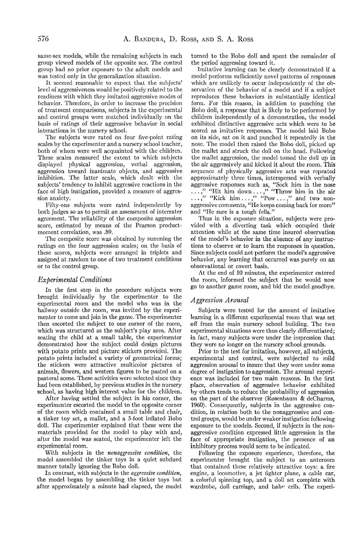same-sex models, while the remaining subjects in each group viewed models of the opposite sex. The control group had no prior exposure to the adult models and was tested only in the generalization situation.

It seemed reasonable to expect that the subjects' level ol aggressiveness would be positively related to the readiness with which they imitated aggressive modes of behavior. Therefore, in order to increase the precision of treatment comparisons, subjects in the experimental and control groups were matched individually on the basis of ratings of their aggressive behavior in social interactions in the nursery school.

The subjects were rated on four five-point rating scales by the experimenter and a nursery school teacher, both of whom were well acquainted with the children. These scales measured the extent to which subjects displayed physical aggression, verbal aggression, aggression toward inanimate objects, and aggressive inhibition. The latter scale, which dealt with the subjects' tendency to inhibit aggressive reactions in the face of high instigation, provided a measure of aggression anxiety.

Fifty-one subjects were rated independently by both judges so as to permit an assessment of interrater agreement. The reliability of the composite aggression score, estimated by means of the Pearson productmoment correlation, was .89.

The composite score was obtained by summing the ratings on the four aggression scales; on the basis of these scores, subjects were arranged in triplets and assigned at random to one of two treatment conditions or to the control group.

#### *Experimental Conditions*

In the first step in the procedure subjects were brought individually by the experimenter to the experimental room and the model who was in the hallway outside the room, was invited by the experimenter to come and join in the game. The experimenter then escorted the subject to one corner of the room, which was structured as the subject's play area. After seating the child at a small table, the experimenter demonstrated how the subject could design pictures with potato prints and picture stickers provided. The potato prints included a variety of geometrical forms; the stickers were attractive multicolor pictures of animals, flowers, and western figures to be pasted on a pastoral scene. These activities were selected since they had been established, by previous studies in the nursery school, as having high interest value for the children.

After having settled the subject in his corner, the experimenter escorted the model to the opposite corner of the room which contained a small table and chair, a tinker toy set, a mallet, and a S-foot inflated Bobo doll. The experimenter explained that these were the materials provided for the model to play with and, after the model was seated, the experimenter left the experimental room.

With subjects in the *nonaggressive condition,* the model assembled the tinker toys in a quiet subdued manner totally ignoring the Bobo doll.

In contrast, with subjects in the *aggressive condition,* the model began by assembling the tinker toys but after approximately a minute had elapsed, the model turned to the Bobo doll and spent the remainder of the period aggressing toward it.

Imitative learning can be clearly demonstrated if a model performs sufficiently novel patterns of responses which are unlikely to occur independently of the observation of the behavior of a model and if a subject reproduces these behaviors in substantially identical form. For this reason, in addition to punching the Bobo doll, a response that is likely to be performed by children independently of a demonstration, the model exhibited distinctive aggressive acts which were to be scored as imitative responses. The model laid Bobo on its side, sat on it and punched it repeatedly in the nose. The model then raised the Bobo doll, picked up the mallet and struck the doll on the head. Following the mallet aggression, the model tossed the doll up in the air aggressively and kicked it about the room. This sequence of physically aggressive acts was repeated approximately three times, interspersed with verbally aggressive responses such as, "Sock him in the nose .. .," "Hit him down...," "Throw him in the air  $\ldots$ ," "Kick him  $\ldots$ ," "Pow  $\ldots$ ," and two nonaggressive comments, "He keeps coming back for more" and "He sure is a tough fella."

Thus in the exposure situation, subjects were provided with a diverting task which occupied their attention while at the same time insured observation of the model's behavior in the absence of any instructions to observe or to learn the responses in question. Since subjects could not perform the model's aggressive behavior, any learning that occurred was purely on an observational or covert basis.

At the end of 10 minutes, the experimenter entered the room, informed the subject that he would now go to another game room, and bid the model goodbye.

#### *Aggression Arousal*

Subjects were tested for the amount of imitative learning in a different experimental room that was set off from the main nursery school building. The two experimental situations were thus clearly differentiated; in fact, many subjects were under the impression that they were no longer on the nursery school grounds.

Prior to the test for imitation, however, all subjects, experimental and control, were subjected to mild aggression arousal to insure that they were under some degree of instigation to aggression. The arousal experience was included for two main reasons. In the first place, observation of aggressive behavior exhibited by others tends to reduce the probability of aggression on the part of the observer (Rosenbaum & deCharms, 1960). Consequently, subjects in the aggressive condition, in relation both to the nonaggressive and control groups, would be under weaker instigation following exposure to the models. Second, if subjects in the nonaggressive condition expressed little aggression in the face of appropriate instigation, the presence of an inhibitory process would seem to be indicated.

Following the exposure experience, therefore, the experimenter brought the subject to an anteroom that contained these relatively attractive toys: a fire engine, a locomotive, a jet fighter plane, a cable car, a colorful spinning top, and a doll set complete with wardrobe, doll carriage, and babr crib. The experi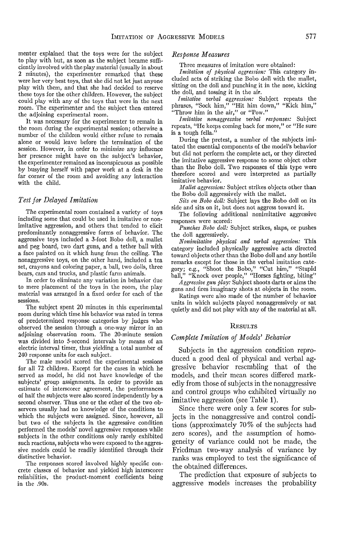menter explained that the toys were for the subject to play with but, as soon as the subject became sufficiently involved with the play material (usually in about 2 minutes), the experimenter remarked that these were her very best toys, that she did not let just anyone play with them, and that she had decided to reserve these toys for the other children. However, the subject could play with any of the toys that were in the next room. The experimenter and the subject then entered the adjoining experimental room.

It was necessary for the experimenter to remain in the room during the experimental session; otherwise a number of the children would either refuse to remain alone or would leave before the termination of the session. However, in order to minimize any influence her presence might have on the subject's behavior, the experimenter remained as inconspicuous as possible by busying herself with paper work at a desk in the far corner of the room and avoiding any interaction with the child.

#### *Test for Delayed Imitation*

The experimental room contained a variety of toys including some that could be used in imitative or nonimitative aggression, and others that tended to elicit predominantly nonaggressive forms of behavior. The aggressive toys included a 3-foot Bobo doll, a mallet and peg board, two dart guns, and a tether ball with a face painted on it which hung from the ceiling. The nonaggressive toys, on the other hand, included a tea set, crayons and coloring paper, a ball, two dolls, three bears, cars and trucks, and plastic farm animals.

In order to eliminate any variation in behavior due to mere placement of the toys in the room, the play material was arranged in a fixed order for each of the sessions.

The subject spent 20 minutes in this experimental room during which time his behavior was rated in terms of predetermined response categories by judges who observed the session through a one-way mirror in an adjoining observation room. The 20-minute session was divided into 5-second intervals by means of an electric interval timer, thus yielding a total number of 240 response units for each subject.

The male model scored the experimental sessions for all 72 children. Except for the cases in which he served as model, he did not have knowledge of the subjects' group assignments. In order to provide an estimate of interscorer agreement, the performances of half the subjects were also scored independently by a second observer. Thus one or the other of the two observers usually had no knowledge of the conditions to which the subjects were assigned. Since, however, all but two of the subjects in the aggressive condition performed the models' novel aggressive responses while subjects in the other conditions only rarely exhibited such reactions, subjects who were exposed to the aggressive models could be readily identified through their distinctive behavior.

The responses scored involved highly specific concrete classes of behavior and yielded high interscorer reliabilities, the product-moment coefficients being in the .90s.

### *Response Measures*

Three measures of imitation were obtained:

*Imitation of physical aggression:* This category included acts of striking the Bobo doll with the mallet, sitting on the doll and punching it in the nose, kicking the doll, and tossing it in the air.

*Imitative verbal aggression:* Subject repeats the phrases, "Sock him," "Hit him down," "Kick him," "Throw him in the air," or "Pow."

*Imitative nonaggressive verbal responses:* Subject repeats, "He keeps coming back for more," or "He sure is a tough fella."

During the pretest, a number of the subjects imitated the essential components of the model's behavior but did not perform the complete act, or they directed the imitative aggressive response to some object other than the Bobo doll. Two responses of this type were therefore scored and were interpreted as partially imitative behavior.

*Mallet aggression:* Subject strikes objects other than the Bobo doll aggressively with the mallet.

*Sits on Bobo doll:* Subject lays the Bobo doll on its side and sits on it, but does not aggress toward it.

The following additional nonimitative aggressive responses were scored:

*Punches Bobo doll:* Subject strikes, slaps, or pushes the doll aggressively.

*Nonimitative physical and verbal aggression:* This category included physically aggressive acts directed toward objects other than the Bobo doll and any hostile remarks except for those in the verbal imitation category; e.g., "Shoot the Bobo," "Cut him," "Stupid ball," "Knock over people," "Horses fighting, biting"

*Aggressive gun play:* Subject shoots darts or aims the guns and fires imaginary shots at objects in the room.

Ratings were also made of the number of behavior units in which subjects played nonaggressively or sat quietly and did not play with any of the material at all.

#### RESULTS

### *Complete Imitation of Models' Behavior*

Subjects in the aggression condition reproduced a good deal of physical and verbal aggressive behavior resembling that of the models, and their mean scores differed markedly from those of subjects in the nonaggressive and control groups who exhibited virtually no imitative aggression (see Table 1).

Since there were only a few scores for subjects in the nonaggressive and control conditions (approximately 70% of the subjects had zero scores), and the assumption of homogeneity of variance could not be made, the Friedman two-way analysis of variance by ranks was employed to test the significance of the obtained differences.

The prediction that exposure of subjects to aggressive models increases the probability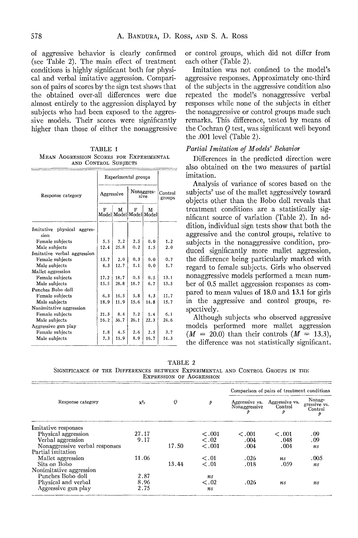of aggressive behavior is clearly confirmed (see Table 2). The main effect of treatment conditions is highly significant both for physical and verbal imitative aggression. Comparison of pairs of scores by the sign test shows that the obtained over-all differences were due almost entirely to the aggression displayed by subjects who had been exposed to the aggressive models. Their scores were significantly higher than those of either the nonaggressive

TABLE 1 MEAN AGGRESSION SCORES FOR EXPERIMENTAL AND CONTROL SUBJECTS

|                                    | Experimental groups |                              |                    |      |                   |
|------------------------------------|---------------------|------------------------------|--------------------|------|-------------------|
| Response category                  | Aggressive          |                              | Nonaggres-<br>sive |      | Control<br>groups |
|                                    | F                   | M<br>Model Model Model Model | F                  | м    |                   |
| Imitative physical aggres-<br>sion |                     |                              |                    |      |                   |
| Female subjects                    | 5.5                 | 7.2                          | 2.5                | 0.0  | 1.2               |
| Male subjects                      | 12.4                | 25.8                         | 0.2                | 1.5  | 2.0               |
| Imitative verbal aggression        |                     |                              |                    |      |                   |
| Female subjects                    | 13.7                | 2.0                          | 0.3                | 0.0  | 0.7               |
| Male subjects                      | 4.3                 | 12.7                         | 1.1                | 0.0  | 1.7               |
| Mallet aggression                  |                     |                              |                    |      |                   |
| Female subjects                    | 17.2                | 18.7                         | 0.5                | 0.5  | 13.1              |
| Male subjects                      | 15.5                | 28.8                         | 18.7               | 6.7  | 13.5              |
| Punches Bobo doll                  |                     |                              |                    |      |                   |
| Female subjects                    | 6.3                 | 16.5                         | 5.8                | 4.3  | 11.7              |
| Male subjects                      | 18.9                | 11.9                         | 15.6               | 14.8 | 15.7              |
| Nonimitative aggression            |                     |                              |                    |      |                   |
| Female subjects                    | 21.3                | 8.4                          | 7.2                | 1.4  | 6.1               |
| Male subjects                      | 16.2                | 36.7                         | 26.1               | 22.3 | 24.6              |
| Aggressive gun play                |                     |                              |                    |      |                   |
| Female subjects                    | 1.8                 | 4.5                          | 2.6                | 2.5  | 3.7               |
| Male subjects                      | 7.3                 | 15.9                         | 8.9                | 16.7 | 14.3              |

or control groups, which did not differ from each other (Table 2).

Imitation was not confined to the model's aggressive responses. Approximately one-third of the subjects in the aggressive condition also repeated the model's nonaggressive verbal responses while none of the subjects in either the nonaggressive or control groups made such remarks. This difference, tested by means of the Cochran *Q* test, was significant well beyond the .001 level (Table 2).

### *Partial Imitation of Models' Behavior*

Differences in the predicted direction were also obtained on the two measures of partial imitation.

Analysis of variance of scores based on the subjects' use of the mallet aggressively toward objects other than the Bobo doll reveals that treatment conditions are a statistically significant source of variation (Table 2). In addition, individual sign tests show that both the aggressive and the control groups, relative to subjects in the nonaggressive condition, produced significantly more mallet aggression, the difference being particularly marked with regard to female subjects. Girls who observed nonaggressive models performed a mean number of 0.5 mallet aggression responses as compared to mean values of 18.0 and 13.1 for girls in the aggressive and control groups, respectively.

Although subjects who observed aggressive models performed more mallet aggression *(M* = 20.0) than their controls *(M =* 13.3), the difference was not statistically significant.

TABLE 2

SIGNIFICANCE OF THE DIFFERENCES BETWEEN EXPERIMENTAL AND CONTROL GROUPS IN THE EXPRESSION or AGGRESSION

| Response category              | $\chi^2_r$ | 0     | Þ          | Comparison of pairs of treatment conditions |                                |                                        |
|--------------------------------|------------|-------|------------|---------------------------------------------|--------------------------------|----------------------------------------|
|                                |            |       |            | Aggressive vs.<br>Nonaggressive             | Aggressive vs.<br>Control<br>Þ | Nonag-<br>gressive vs.<br>Control<br>Þ |
| Imitative responses            |            |       |            |                                             |                                |                                        |
| Physical aggression            | 27.17      |       | < 0.001    | $-.001$                                     | < 0.001                        | .09                                    |
| Verbal aggression              | 9.17       |       | $\leq .02$ | .004                                        | .048                           | .09                                    |
| Nonaggressive verbal responses |            | 17.50 | < 0.001    | .004                                        | .004                           | n <sub>s</sub>                         |
| Partial imitation              |            |       |            |                                             |                                |                                        |
| Mallet aggression              | 11.06      |       | < 0.01     | .026                                        | $n_{S}$                        | .005                                   |
| Sits on Bobo                   |            | 13.44 | $-.01$     | .018                                        | .059                           | ns                                     |
| Nonimitative aggression        |            |       |            |                                             |                                |                                        |
| Punches Bobo doll              | 2.87       |       | ns         |                                             |                                |                                        |
| Physical and verbal            | 8.96       |       | < 0.02     | .026                                        | n <sub>s</sub>                 | ns                                     |
| Aggressive gun play            | 2.75       |       | ns         |                                             |                                |                                        |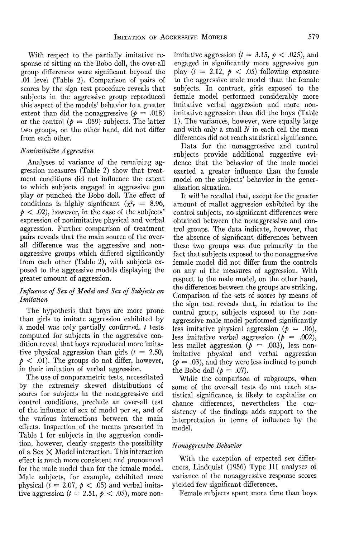With respect to the partially imitative response of sitting on the Bobo doll, the over-all group differences were significant beyond the .01 level (Table 2). Comparison of pairs of scores by the sign test procedure reveals that subjects in the aggressive group reproduced this aspect of the models' behavior to a greater extent than did the nonaggressive  $(p = .018)$ or the control  $(p = .059)$  subjects. The latter two groups, on the other hand, did not differ from each other.

### *Nonimitative Aggression*

Analyses of variance of the remaining aggression measures (Table 2) show that treatment conditions did not influence the extent to which subjects engaged in aggressive gun play or punched the Bobo doll. The effect of conditions is highly significant  $(x^2r = 8.96,$  $p < .02$ ), however, in the case of the subjects' expression of nonimitative physical and verbal aggression. Further comparison of treatment pairs reveals that the main source of the overall difference was the aggressive and nonaggressive groups which differed significantly from each other (Table 2), with subjects exposed to the aggressive models displaying the greater amount of aggression.

## *Influence of Sex of Model and Sex of Subjects on Imitation*

The hypothesis that boys are more prone than girls to imitate aggression exhibited by a model was only partially confirmed, *t* tests computed for subjects in the aggressive condition reveal that boys reproduced more imitative physical aggression than girls *(t =* 2.50,  $p < .01$ ). The groups do not differ, however, in their imitation of verbal aggression.

The use of nonparametric tests, necessitated by the extremely skewed distributions of scores for subjects in the nonaggressive and control conditions, preclude an over-all test of the influence of sex of model per se, and of the various interactions between the main effects. Inspection of the means presented in Table 1 for subjects in the aggression condition, however, clearly suggests the possibility of a  $Sex \times Model$  interaction. This interaction effect is much more consistent and pronounced for the male model than for the female model. Male subjects, for example, exhibited more physical ( $t = 2.07$ ,  $p < .05$ ) and verbal imitative aggression  $(t = 2.51, p < .05)$ , more nonimitative aggression  $(t = 3.15, p < .025)$ , and engaged in significantly more aggressive gun play  $(t = 2.12, p < .05)$  following exposure to the aggressive male model than the female subjects. In contrast, girls exposed to the female model performed considerably more imitative verbal aggression and more nonimitative aggression than did the boys (Table 1). The variances, however, were equally large and with only a small *N* in each cell the mean differences did not reach statistical significance.

Data for the nonaggressive and control subjects provide additional suggestive evidence that the behavior of the male model exerted a greater influence than the female model on the subjects' behavior in the generalization situation.

It will be recalled that, except for the greater amount of mallet aggression exhibited by the control subjects, no significant differences were obtained between the nonaggressive and control groups. The data indicate, however, that the absence of significant differences between these two groups was due primarily to the fact that subjects exposed to the nonaggressive female model did not differ from the controls on any of the measures of aggression. With respect to the male model, on the other hand, the differences between the groups are striking. Comparison of the sets of scores by means of the sign test reveals that, in relation to the control group, subjects exposed to the nonaggressive male model performed significantly less imitative physical aggression ( $p = .06$ ), less imitative verbal aggression  $(p = .002)$ , less mallet aggression  $(p = .003)$ , less nonimitative physical and verbal aggression  $(p = .03)$ , and they were less inclined to punch the Bobo doll  $(p=.07)$ .

While the comparison of subgroups, when some of the over-all tests do not reach statistical significance, is likely to capitalize on chance differences, nevertheless the consistency of the findings adds support to the interpretation in terms of influence by the model.

#### *Nonaggressive Behavior*

With the exception of expected sex differences, Lindquist (1956) Type III analyses of variance of the nonaggressive response scores yielded few significant differences.

Female subjects spent more time than boys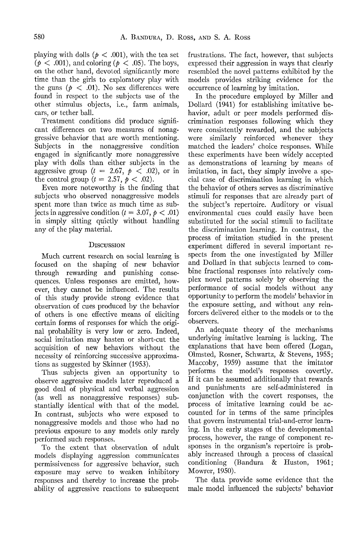playing with dolls ( $p < .001$ ), with the tea set  $(p < .001)$ , and coloring  $(p < .05)$ . The boys, on the other hand, devoted significantly more time than the girls to exploratory play with the guns  $(p < .01)$ . No sex differences were found in respect to the subjects use of the other stimulus objects, i.e., farm animals, cars, or tether ball.

Treatment conditions did produce significant differences on two measures of nonaggressive behavior that are worth mentioning. Subjects in the nonaggressive condition engaged in significantly more nonaggressive play with dolls than either subjects in the aggressive group  $(t = 2.67, p < .02)$ , or in the control group ( $t = 2.57$ ,  $p < .02$ ).

Even more noteworthy is the finding that subjects who observed nonaggressive models spent more than twice as much time as subjects in aggressive condition  $(t = 3.07, \phi < .01)$ in simply sitting quietly without handling any of the play material.

### **DISCUSSION**

Much current research on social learning is focused on the shaping of new behavior through rewarding and punishing consequences. Unless responses are emitted, however, they cannot be influenced. The results of this study provide strong evidence that observation of cues produced by the behavior of others is one effective means of eliciting certain forms of responses for which the original probability is very low or zero. Indeed, social imitation may hasten or short-cut the acquisition of new behaviors without the necessity of reinforcing successive approximations as suggested by Skinner (1953).

Thus subjects given an opportunity to observe aggressive models later reproduced a good deal of physical and verbal aggression (as well as nonaggressive responses) substantially identical with that of the model. In contrast, subjects who were exposed to nonaggressive models and those who had no previous exposure to any models only rarely performed such responses.

To the extent that observation of adult models displaying aggression communicates permissiveness for aggressive behavior, such exposure may serve to weaken inhibitory responses and thereby to increase the probability of aggressive reactions to subsequent frustrations. The fact, however, that subjects expressed their aggression in ways that clearly resembled the novel patterns exhibited by the models provides striking evidence for the occurrence of learning by imitation.

In the procedure employed by Miller and Bollard (1941) for establishing imitative behavior, adult or peer models performed discrimination responses following which they were consistently rewarded, and the subjects were similarly reinforced whenever they matched the leaders' choice responses. While these experiments have been widely accepted as demonstrations of learning by means of imitation, in fact, they simply involve a special case of discrimination learning in which the behavior of others serves as discriminative stimuli for responses that are already part of the subject's repertoire. Auditory or visual environmental cues could easily have been substituted for the social stimuli to facilitate the discrimination learning. In contrast, the process of imitation studied in the present experiment differed in several important respects from the one investigated by Miller and Bollard in that subjects learned to combine fractional responses into relatively complex novel patterns solely by observing the performance of social models without any opportunity to perform the models' behavior in the exposure setting, and without any reinforcers delivered either to the models or to the observers.

An adequate theory of the mechanisms underlying imitative learning is lacking. The explanations that have been offered (Logan, Olmsted, Rosner, Schwartz, & Stevens, 1955; Maccoby, 1959) assume that the imitator performs the model's responses covertly. If it can be assumed additionally that rewards and punishments are self-administered in conjunction with the covert responses, the process of imitative learning could be accounted for in terms of the same principles that govern instrumental trial-and-error learning. In the early stages of the developmental process, however, the range of component responses in the organism's repertoire is probably increased through a process of classical conditioning (Bandura & Huston, 1961; Mowrer, 1950).

The data provide some evidence that the male model influenced the subjects' behavior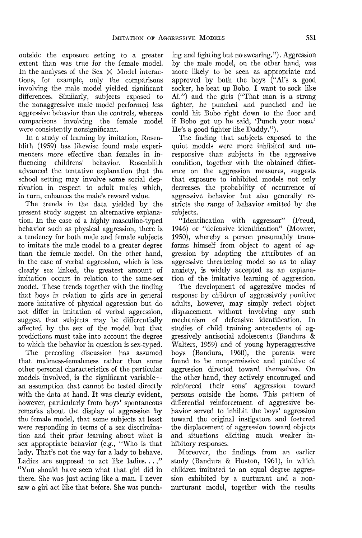outside the exposure setting to a greater extent than was true for the female model. In the analyses of the Sex  $\times$  Model interactions, for example, only the comparisons involving the male model yielded significant differences. Similarly, subjects exposed to the nonaggressive male model performed less aggressive behavior than the controls, whereas comparisons involving the female model were consistently nonsignificant.

In a study of learning by imitation, Rosenblith (1959) has likewise found male experimenters more effective than females in influencing childrens' behavior. Rosenblith advanced the tentative explanation that the school setting may involve some social deprivation in respect to adult males which, in turn, enhances the male's reward value.

The trends in the data yielded by the present study suggest an alternative explanation. In the case of a highly masculine-typed behavior such as physical aggression, there is a tendency for both male and female subjects to imitate the male model to a greater degree than the female model. On the other hand, in the case of verbal aggression, which is less clearly sex linked, the greatest amount of imitation occurs in relation to the same-sex model. These trends together with the finding that boys in relation to girls are in general more imitative of physical aggression but do not differ in imitation of verbal aggression, suggest that subjects may be differentially affected by the sex of the model but that predictions must take into account the degree to which the behavior in question is sex-typed.

The preceding discussion has assumed that maleness-femaleness rather than some other personal characteristics of the particular models involved, is the significant variable an assumption that cannot be tested directly with the data at hand. It was clearly evident, however, particularly from boys' spontaneous remarks about the display of aggression by the female model, that some subjects at least were responding in terms of a sex discrimination and their prior learning about what is sex appropriate behavior (e.g., "Who is that lady. That's not the way for a lady to behave. Ladies are supposed to act like ladies. . . ." "You should have seen what that girl did in there. She was just acting like a man. I never saw a girl act like that before. She was punch-

ing and fighting but no swearing."). Aggression by the male model, on the other hand, was more likely to be seen as appropriate and approved by both the boys ("Al's a good socker, he beat up Bobo. I want to sock like Al.") and the girls ("That man is a strong fighter, he punched and punched and he could hit Bobo right down to the floor and if Bobo got up he said, 'Punch your nose.' He's a good fighter like Daddy.").

The finding that subjects exposed to the quiet models were more inhibited and unresponsive than subjects in the aggressive condition, together with the obtained difference on the aggression measures, suggests that exposure to inhibited models not only decreases the probability of occurrence of aggressive behavior but also generally restricts the range of behavior emitted by the subjects.

"Identification with aggressor" (Freud, 1946) or "defensive identification" (Mowrer, 1950), whereby a person presumably transforms himself from object to agent of aggression by adopting the attributes of an aggressive threatening model so as to allay anxiety, is widely accepted as an explanation of the imitative learning of aggression.

The development of aggressive modes of response by children of aggressively punitive adults, however, may simply reflect object displacement without involving any such mechanism of defensive identification. In studies of child training antecedents of aggressively antisocial adolescents (Bandura & Walters, 1959) and of young hyperaggressive boys (Bandura, I960), the parents were found to be nonpermissive and punitive of aggression directed toward themselves. On the other hand, they actively encouraged and reinforced their sons' aggression toward persons outside the home. This pattern of differential reinforcement of aggressive behavior served to inhibit the boys' aggression toward the original instigators and fostered the displacement of aggression toward objects and situations eliciting much weaker inhibitory responses.

Moreover, the findings from an earlier study (Bandura & Huston, 1961), in which children imitated to an equal degree aggression exhibited by a nurturant and a nonnurturant model, together with the results